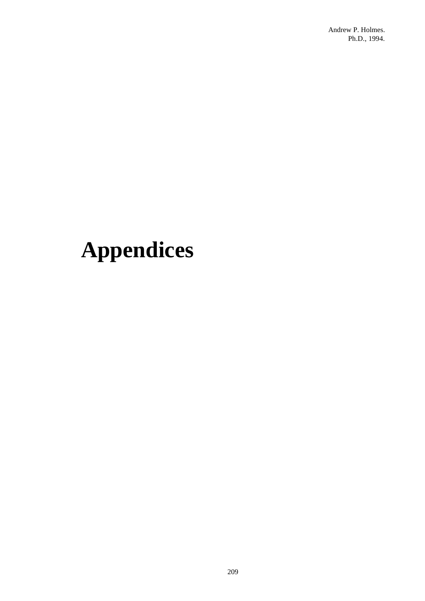# **Appendices**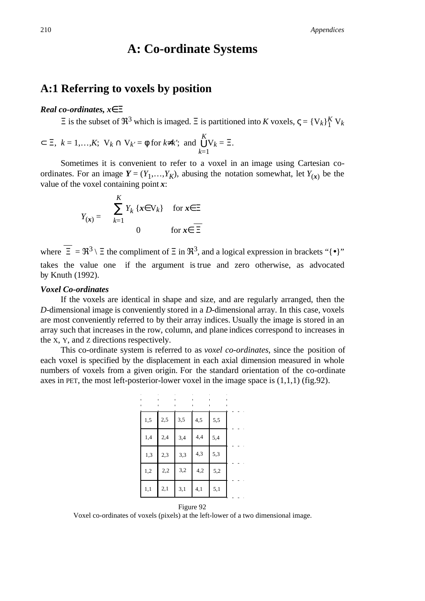# **A: Co-ordinate Systems**

### **A:1 Referring to voxels by position**

#### *Real co-ordinates, x*∈Ξ

 $\Xi$  is the subset of  $\mathfrak{R}^3$  which is imaged.  $\Xi$  is partitioned into *K* voxels,  $\zeta = \{V_k\}^K_1 V_k$ 

$$
\subset \Xi
$$
,  $k = 1,...,K$ ;  $V_k \cap V_{k'} = \emptyset$  for  $k \neq k'$ ; and  $\bigcup_{k=1}^{K} V_k = \Xi$ .

Sometimes it is convenient to refer to a voxel in an image using Cartesian coordinates. For an image  $Y = (Y_1, \ldots, Y_K)$ , abusing the notation somewhat, let  $Y_{(x)}$  be the value of the voxel containing point *x*:

$$
Y_{(\mathbf{x})} = \begin{cases} \sum_{k=1}^{K} Y_k \{x \in \mathbf{V}_k\} & \text{for } \mathbf{x} \in \Xi \\ 0 & \text{for } \mathbf{x} \in \overline{\Xi} \end{cases}
$$

where  $\overline{\Xi} = \Re^3 \setminus \Xi$  the compliment of  $\Xi$  in  $\Re^3$ , and a logical expression in brackets "{ $\bullet$ }" takes the value one if the argument is true and zero otherwise, as advocated by Knuth (1992).

#### *Voxel Co-ordinates*

If the voxels are identical in shape and size, and are regularly arranged, then the *D*-dimensional image is conveniently stored in a *D*-dimensional array. In this case, voxels are most conveniently referred to by their array indices. Usually the image is stored in an array such that increases in the row, column, and plane indices correspond to increases in the X, Y, and Z directions respectively.

This co-ordinate system is referred to as *voxel co-ordinates*, since the position of each voxel is specified by the displacement in each axial dimension measured in whole numbers of voxels from a given origin. For the standard orientation of the co-ordinate axes in PET, the most left-posterior-lower voxel in the image space is  $(1,1,1)$  (fig.92).

| 1,5 | 2,5 | 3,5 | 4,5 | 5,5 |  |
|-----|-----|-----|-----|-----|--|
| 1,4 | 2,4 | 3,4 | 4,4 | 5,4 |  |
| 1,3 | 2,3 | 3,3 | 4,3 | 5,3 |  |
| 1,2 | 2,2 | 3,2 | 4,2 | 5,2 |  |
| 1,1 | 2,1 | 3,1 | 4,1 | 5,1 |  |



Voxel co-ordinates of voxels (pixels) at the left-lower of a two dimensional image.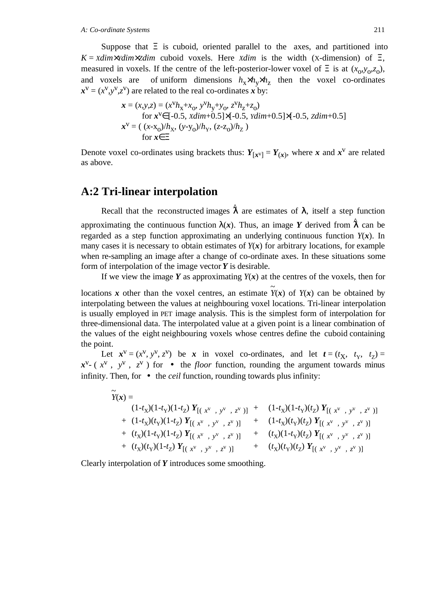Suppose that  $\Xi$  is cuboid, oriented parallel to the axes, and partitioned into  $K = \frac{X \cdot d}{m \times \frac{Y}{d}}$  cuboid voxels. Here  $\frac{X \cdot d}{m}$  is the width (X-dimension) of  $\Xi$ , measured in voxels. If the centre of the left-posterior-lower voxel of  $\Xi$  is at  $(x_0, y_0, z_0)$ , and voxels are of uniform dimensions  $h_x \times h_y \times h_z$  then the voxel co-ordinates  $x^v = (x^v, y^v, z^v)$  are related to the real co-ordinates *x* by:

$$
\mathbf{x} = (x, y, z) = (x^{V}h_{x} + x_{O}, y^{V}h_{y} + y_{O}, z^{V}h_{z} + z_{O})
$$
  
for  $\mathbf{x}^{V} \in [-0.5, xdim+0.5] \times [-0.5, xdim+0.5] \times [-0.5, zdim+0.5]$   
 $\mathbf{x}^{V} = ((x-x_{O})/h_{X}, (y-y_{O})/h_{Y}, (z-z_{O})/h_{Z})$   
for  $\mathbf{x} \in \Xi$ 

Denote voxel co-ordinates using brackets thus:  $Y_{[x^V]} = Y_{(x)}$ , where *x* and  $x^V$  are related as above.

### **A:2 Tri-linear interpolation**

Recall that the reconstructed images  $\hat{\lambda}$  are estimates of  $\lambda$ , itself a step function approximating the continuous function  $\lambda(x)$ . Thus, an image *Y* derived from  $\hat{\lambda}$  can be regarded as a step function approximating an underlying continuous function *Y*(*x*). In many cases it is necessary to obtain estimates of  $Y(x)$  for arbitrary locations, for example when re-sampling an image after a change of co-ordinate axes. In these situations some form of interpolation of the image vector *Y* is desirable.

If we view the image  $Y$  as approximating  $Y(x)$  at the centres of the voxels, then for

locations *x* other than the voxel centres, an estimate *Y*  $\tilde{\cdot}$ (*x*) of *Y*(*x*) can be obtained by interpolating between the values at neighbouring voxel locations. Tri-linear interpolation is usually employed in PET image analysis. This is the simplest form of interpolation for three-dimensional data. The interpolated value at a given point is a linear combination of the values of the eight neighbouring voxels whose centres define the cuboid containing the point.

Let  $x^{\text{v}} = (x^{\text{v}}, y^{\text{v}}, z^{\text{v}})$  be *x* in voxel co-ordinates, and let  $t = (t_X, t_Y, t_Z) =$  $\mathbf{x}^{\vee}$ -  $(x^{\vee})$ ,  $(y^{\vee})$ ,  $(z^{\vee})$  for  $\Box$  the *floor* function, rounding the argument towards minus infinity. Then, for  $\lceil \bullet \rceil$  the *ceil* function, rounding towards plus infinity:

| $Y(x) =$                                                                                            |       |                                                                                                                      |
|-----------------------------------------------------------------------------------------------------|-------|----------------------------------------------------------------------------------------------------------------------|
| $(1-t_X)(1-t_Y)(1-t_Z) Y_{\lfloor (\lfloor x^v \rfloor, \lfloor y^v \rfloor, \lfloor z^v \rfloor)}$ | $\pm$ | $(1-t_X)(1-t_Y)(t_Z) Y_{\left[\left(\int_{-X}^V\right],\left[\int_{-Y}^V\right]\right],\left[\int_{-Z}^V\right]}\}$  |
| + $(1-t_X)(t_Y)(1-t_Z) Y_{[(\downarrow x^V],[y^V],[z^V])]}$                                         |       | + $(1-t_X)(t_Y)(t_Z) Y_{[(\n x^V],[y^V],[z^V])]}$                                                                    |
| + $(t_X)(1-t_Y)(1-t_Z) Y_{[(x^V],\lfloor y^V\rfloor, \lfloor z^V\rfloor)}$                          |       | + $(t_X)(1-t_Y)(t_Z) Y_{[(x^V],[y^V],[z^V])]}$                                                                       |
| + $(t_X)(t_Y)(1-t_Z) Y_{[(x^V],[y^V],[z^V])]}$                                                      |       | + $(t_X)(t_Y)(t_Z) Y_{\llbracket (\llbracket x^v \rrbracket, \llbracket y^v \rrbracket, \llbracket z^v \rrbracket)}$ |

Clearly interpolation of *Y* introduces some smoothing.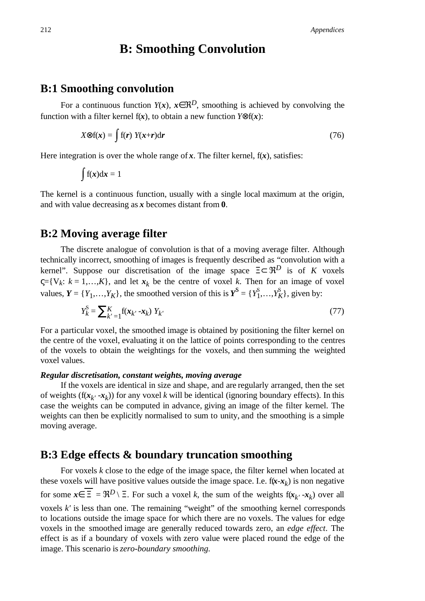# **B: Smoothing Convolution**

### **B:1 Smoothing convolution**

For a continuous function  $Y(x)$ ,  $x \in \mathbb{R}^D$ , smoothing is achieved by convolving the function with a filter kernel f( $x$ ), to obtain a new function  $Y \otimes f(x)$ :

$$
X \otimes f(x) = \int f(r) Y(x+r) dr \tag{76}
$$

Here integration is over the whole range of  $x$ . The filter kernel,  $f(x)$ , satisfies:

$$
\int f(x) dx = 1
$$

The kernel is a continuous function, usually with a single local maximum at the origin, and with value decreasing as *x* becomes distant from **0**.

### **B:2 Moving average filter**

The discrete analogue of convolution is that of a moving average filter. Although technically incorrect, smoothing of images is frequently described as "convolution with a kernel". Suppose our discretisation of the image space  $\Xi \subset \mathbb{R}^D$  is of *K* voxels  $\zeta = \{V_k: k = 1, \ldots, K\}$ , and let  $x_k$  be the centre of voxel *k*. Then for an image of voxel values,  $Y = \{Y_1, \ldots, Y_K\}$ , the smoothed version of this is  $Y^S = \{Y_1^S, \ldots, Y_K^S\}$ , given by:

$$
Y_k^S = \sum_{k'=1}^K \mathbf{f}(\mathbf{x}_{k'} - \mathbf{x}_k) Y_{k'} \tag{77}
$$

For a particular voxel, the smoothed image is obtained by positioning the filter kernel on the centre of the voxel, evaluating it on the lattice of points corresponding to the centres of the voxels to obtain the weightings for the voxels, and then summing the weighted voxel values.

#### *Regular discretisation, constant weights, moving average*

If the voxels are identical in size and shape, and are regularly arranged, then the set of weights  $(f(x_k, -x_k))$  for any voxel *k* will be identical (ignoring boundary effects). In this case the weights can be computed in advance, giving an image of the filter kernel. The weights can then be explicitly normalised to sum to unity, and the smoothing is a simple moving average.

### **B:3 Edge effects & boundary truncation smoothing**

For voxels *k* close to the edge of the image space, the filter kernel when located at these voxels will have positive values outside the image space. I.e.  $f(x-x_k)$  is non negative for some  $\mathbf{x} \in \overline{\Xi} = \Re^D \setminus \Xi$ . For such a voxel *k*, the sum of the weights  $f(\mathbf{x}_k \cdot - \mathbf{x}_k)$  over all voxels *k'* is less than one. The remaining "weight" of the smoothing kernel corresponds to locations outside the image space for which there are no voxels. The values for edge voxels in the smoothed image are generally reduced towards zero, an *edge effect*. The effect is as if a boundary of voxels with zero value were placed round the edge of the image. This scenario is *zero-boundary smoothing*.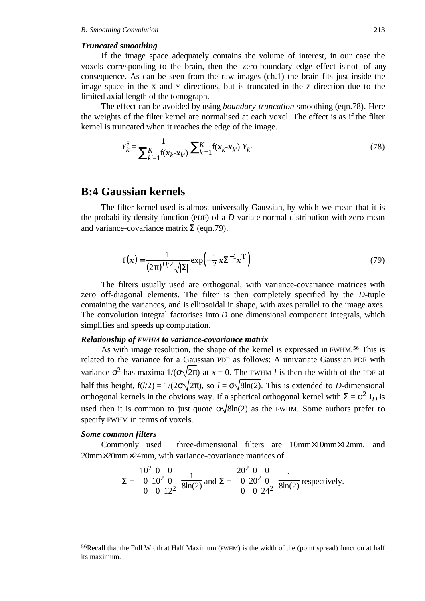#### *Truncated smoothing*

If the image space adequately contains the volume of interest, in our case the voxels corresponding to the brain, then the zero-boundary edge effect is not of any consequence. As can be seen from the raw images (ch.1) the brain fits just inside the image space in the X and Y directions, but is truncated in the Z direction due to the limited axial length of the tomograph.

The effect can be avoided by using *boundary-truncation* smoothing (eqn.78). Here the weights of the filter kernel are normalised at each voxel. The effect is as if the filter kernel is truncated when it reaches the edge of the image.

$$
Y_k^S = \frac{1}{\sum_{k'=1}^K \mathbf{f}(\mathbf{x}_k - \mathbf{x}_{k'})} \sum_{k'=1}^K \mathbf{f}(\mathbf{x}_k - \mathbf{x}_{k'}) Y_{k'}
$$
(78)

### **B:4 Gaussian kernels**

The filter kernel used is almost universally Gaussian, by which we mean that it is the probability density function (PDF) of a *D*-variate normal distribution with zero mean and variance-covariance matrix  $\Sigma$  (eqn.79).

$$
f(\mathbf{x}) = \frac{1}{(2\pi)^{D/2}\sqrt{|\Sigma|}} \exp\left(-\frac{1}{2}\mathbf{x}\Sigma^{-1}\mathbf{x}^{T}\right)
$$
\n(79)

The filters usually used are orthogonal, with variance-covariance matrices with zero off-diagonal elements. The filter is then completely specified by the *D*-tuple containing the variances, and is ellipsoidal in shape, with axes parallel to the image axes. The convolution integral factorises into *D* one dimensional component integrals, which simplifies and speeds up computation.

#### *Relationship of FWHM to variance-covariance matrix*

As with image resolution, the shape of the kernel is expressed in FWHM.56 This is related to the variance for a Gaussian PDF as follows: A univariate Gaussian PDF with variance  $\sigma^2$  has maxima  $1/(\sigma\sqrt{2\pi})$  at  $x = 0$ . The FWHM *l* is then the width of the PDF at half this height,  $f(l/2) = 1/(2\sigma\sqrt{2\pi})$ , so  $l = \sigma\sqrt{8\ln(2)}$ . This is extended to *D*-dimensional orthogonal kernels in the obvious way. If a spherical orthogonal kernel with  $\Sigma = \sigma^2 I_D$  is used then it is common to just quote  $\sigma\sqrt{8\ln(2)}$  as the FWHM. Some authors prefer to specify FWHM in terms of voxels.

#### *Some common filters*

-

Commonly used three-dimensional filters are 10mm×10mm×12mm, and 20mm×20mm×24mm, with variance-covariance matrices of

$$
\Sigma = \begin{pmatrix} 10^2 & 0 & 0 \\ 0 & 10^2 & 0 \\ 0 & 0 & 12^2 \end{pmatrix} \frac{1}{8\ln(2)} \text{ and } \Sigma = \begin{pmatrix} 20^2 & 0 & 0 \\ 0 & 20^2 & 0 \\ 0 & 0 & 24^2 \end{pmatrix} \frac{1}{8\ln(2)} \text{ respectively.}
$$

<sup>56</sup>Recall that the Full Width at Half Maximum (FWHM) is the width of the (point spread) function at half its maximum.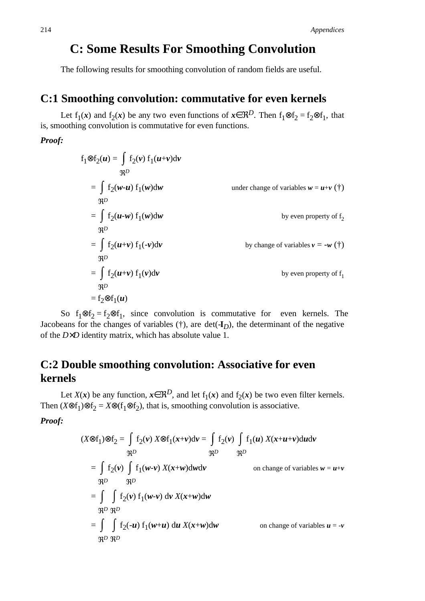# **C: Some Results For Smoothing Convolution**

The following results for smoothing convolution of random fields are useful.

### **C:1 Smoothing convolution: commutative for even kernels**

Let  $f_1(x)$  and  $f_2(x)$  be any two even functions of  $x \in \mathbb{R}^D$ . Then  $f_1 \otimes f_2 = f_2 \otimes f_1$ , that is, smoothing convolution is commutative for even functions.

### *Proof:*

$$
f_1 \otimes f_2(u) = \int f_2(v) f_1(u+v) dv
$$
  
\n
$$
\mathfrak{R}^D
$$
  
\n
$$
= \int f_2(w-u) f_1(w) dw
$$
 under change of variables  $w = u+v$  (\*)  
\n
$$
\mathfrak{R}^D
$$
  
\n
$$
= \int f_2(u-w) f_1(w) dw
$$
 by even property of  $f_2$   
\n
$$
\mathfrak{R}^D
$$
  
\n
$$
= \int f_2(u+v) f_1(-v) dv
$$
 by change of variables  $v = -w$  (\*)  
\n
$$
\mathfrak{R}^D
$$
  
\n
$$
= \int f_2(u+v) f_1(v) dv
$$
  
\n
$$
\mathfrak{R}^D
$$
  
\n
$$
= f_2 \otimes f_1(u)
$$

So f<sub>1</sub>⊗f<sub>2</sub> = f<sub>2</sub>⊗f<sub>1</sub>, since convolution is commutative for even kernels. The Jacobeans for the changes of variables  $(\dagger)$ , are det $(\dagger)$ , the determinant of the negative of the *D*×*D* identity matrix, which has absolute value 1.

# **C:2 Double smoothing convolution: Associative for even kernels**

Let *X*(*x*) be any function,  $x \in \mathbb{R}^D$ , and let  $f_1(x)$  and  $f_2(x)$  be two even filter kernels. Then  $(X \otimes f_1) \otimes f_2 = X \otimes (f_1 \otimes f_2)$ , that is, smoothing convolution is associative.

*Proof:*

$$
(X \otimes f_1) \otimes f_2 = \int f_2(v) X \otimes f_1(x+v) dv = \int f_2(v) \int f_1(u) X(x+u+v) du dv
$$
  
\n
$$
\mathfrak{R}^D \qquad \mathfrak{R}^D
$$
  
\n
$$
= \int f_2(v) \int f_1(w-v) X(x+w) dw dv
$$
  
\n
$$
\mathfrak{R}^D \qquad \mathfrak{R}^D
$$
  
\n
$$
= \int \int f_2(v) f_1(w-v) dv X(x+w) dw
$$
  
\n
$$
\mathfrak{R}^D \mathfrak{R}^D
$$
  
\n
$$
= \int \int f_2(-u) f_1(w+u) du X(x+w) dw
$$
  
\n
$$
\mathfrak{R}^D \mathfrak{R}^D
$$
  
\n
$$
= \int \int f_2(-u) f_1(w+u) du X(x+w) dw
$$
  
\n
$$
\mathfrak{R}^D \mathfrak{R}^D
$$
  
\n
$$
\mathfrak{R}^D \mathfrak{R}^D
$$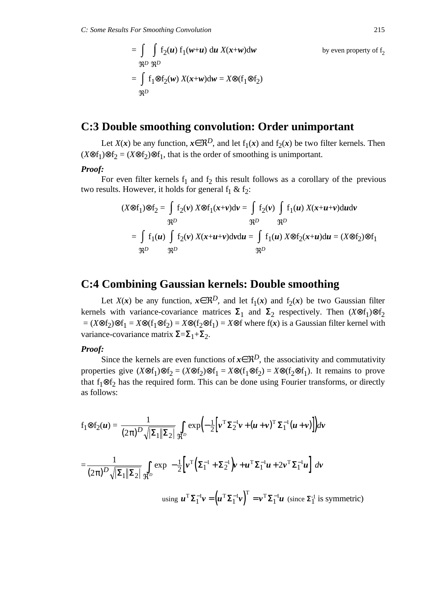$$
= \int \int f_2(\boldsymbol{u}) f_1(\boldsymbol{w}+\boldsymbol{u}) d\boldsymbol{u} X(\boldsymbol{x}+\boldsymbol{w}) d\boldsymbol{w}
$$
 by even property of  $f_2$   
\n
$$
\mathfrak{R}^D \mathfrak{R}^D
$$
\n
$$
= \int f_1 \otimes f_2(\boldsymbol{w}) X(\boldsymbol{x}+\boldsymbol{w}) d\boldsymbol{w} = X \otimes (f_1 \otimes f_2)
$$
\n
$$
\mathfrak{R}^D
$$

### **C:3 Double smoothing convolution: Order unimportant**

Let *X*(*x*) be any function,  $x \in \mathbb{R}^D$ , and let  $f_1(x)$  and  $f_2(x)$  be two filter kernels. Then  $(X \otimes f_1) \otimes f_2 = (X \otimes f_2) \otimes f_1$ , that is the order of smoothing is unimportant.

### *Proof:*

For even filter kernels  $f_1$  and  $f_2$  this result follows as a corollary of the previous two results. However, it holds for general  $f_1 \& f_2$ :

$$
(X \otimes f_1) \otimes f_2 = \int f_2(v) \, X \otimes f_1(x+v) \, dv = \int f_2(v) \int f_1(u) \, X(x+u+v) \, du \, dv
$$
\n
$$
\mathfrak{R}^D \qquad \mathfrak{R}^D
$$
\n
$$
= \int f_1(u) \int f_2(v) \, X(x+u+v) \, dv \, du = \int f_1(u) \, X \otimes f_2(x+u) \, du = (X \otimes f_2) \otimes f_1
$$
\n
$$
\mathfrak{R}^D \qquad \mathfrak{R}^D
$$

### **C:4 Combining Gaussian kernels: Double smoothing**

Let *X*(*x*) be any function,  $x \in \mathbb{R}^D$ , and let  $f_1(x)$  and  $f_2(x)$  be two Gaussian filter kernels with variance-covariance matrices  $\Sigma_1$  and  $\Sigma_2$  respectively. Then  $(X \otimes f_1) \otimes f_2$  $=(X \otimes f_2) \otimes f_1 = X \otimes (f_1 \otimes f_2) = X \otimes (f_2 \otimes f_1) = X \otimes f$  where  $f(x)$  is a Gaussian filter kernel with variance-covariance matrix  $\Sigma = \Sigma_1 + \Sigma_2$ .

#### *Proof:*

Since the kernels are even functions of  $x \in \mathbb{R}^D$ , the associativity and commutativity properties give  $(X \otimes f_1) \otimes f_2 = (X \otimes f_2) \otimes f_1 = X \otimes (f_1 \otimes f_2) = X \otimes (f_2 \otimes f_1)$ . It remains to prove that  $f_1 \otimes f_2$  has the required form. This can be done using Fourier transforms, or directly as follows:

$$
f_1 \otimes f_2(u) = \frac{1}{(2\pi)^D \sqrt{|\Sigma_1||\Sigma_2|}} \int_{\Re^D} \exp\left(-\frac{1}{2} \Big[ \nu^T \Sigma_2^{-1} \nu + (u + \nu)^T \Sigma_1^{-1} (u + \nu) \Big] \right) dv
$$
  
= 
$$
\frac{1}{(2\pi)^D \sqrt{|\Sigma_1||\Sigma_2|}} \int_{\Re^D} \exp\left(-\frac{1}{2} \Big[ \nu^T \Big(\Sigma_1^{-1} + \Sigma_2^{-1} \Big) \nu + u^T \Sigma_1^{-1} u + 2\nu^T \Sigma_1^{-1} u \Big] \right) dv
$$
  
using  $u^T \Sigma_1^{-1} \nu = \left(u^T \Sigma_1^{-1} \nu\right)^T = \nu^T \Sigma_1^{-1} u$  (since  $\Sigma_1^{-1}$  is symmetric)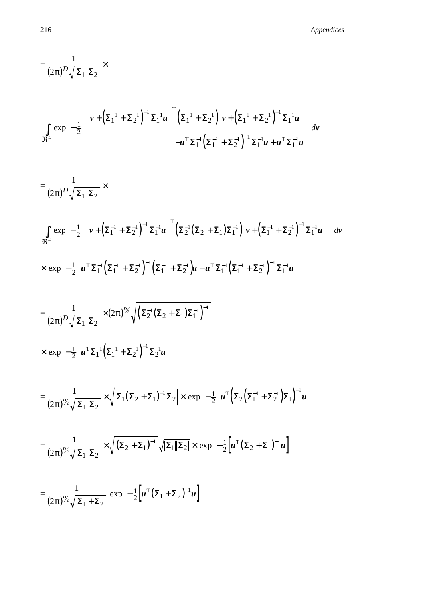$$
\frac{1}{(2\pi)^{D}\sqrt{|\Sigma_{1}||\Sigma_{2}|}} \times
$$
\n
$$
\int_{\Re^{D}} \exp\left(-\frac{1}{2}\left[\left(\mathbf{v}+\left(\Sigma_{1}^{-1}+\Sigma_{2}^{-1}\right)^{-1}\Sigma_{1}^{-1}\mathbf{u}\right)^{T}\left(\Sigma_{1}^{-1}+\Sigma_{2}^{-1}\right)^{T}\mathbf{v}+\left(\Sigma_{1}^{-1}+\Sigma_{2}^{-1}\right)^{-1}\Sigma_{1}^{-1}\mathbf{u}\right)\right]\right) d\mathbf{v}
$$
\n
$$
= \frac{1}{(2\pi)^{D}\sqrt{|\Sigma_{1}||\Sigma_{2}|}} \times
$$
\n
$$
\int_{\Re^{D}} \exp\left(-\frac{1}{2}\left[\left(\mathbf{v}+\left(\Sigma_{1}^{-1}+\Sigma_{2}^{-1}\right)^{-1}\Sigma_{1}^{-1}\mathbf{u}\right)^{T}\left(\Sigma_{2}^{-1}(\Sigma_{2}+\Sigma_{1})\Sigma_{1}^{-1}\right)^{T}\mathbf{v}+\left(\Sigma_{1}^{-1}+\Sigma_{2}^{-1}\right)^{-1}\Sigma_{1}^{-1}\mathbf{u}\right)\right]\right) d\mathbf{v}
$$
\n
$$
\times \exp\left(-\frac{1}{2}\left[\left(\mathbf{v}+\left(\Sigma_{1}^{-1}+\Sigma_{2}^{-1}\right)^{-1}\Sigma_{1}^{-1}\mathbf{u}\right)^{T}\left(\Sigma_{2}^{-1}(\Sigma_{2}+\Sigma_{1})\Sigma_{1}^{-1}\right)\left(\mathbf{v}+\left(\Sigma_{1}^{-1}+\Sigma_{2}^{-1}\right)^{-1}\Sigma_{1}^{-1}\mathbf{u}\right)\right]\right) d\mathbf{v}
$$
\n
$$
\times \exp\left(-\frac{1}{2}\left[\mathbf{u}^{T}\Sigma_{1}^{-1}\left(\Sigma_{1}^{-1}+\Sigma_{2}^{-1}\right)^{-1}\left(\Sigma_{1}^{-1}+\Sigma_{2}^{-1}\right)^{-1}\right]
$$
\n
$$
= \frac{1}{(2\pi)^{D}\sqrt{|\Sigma_{1}||\Sigma_{2}|}} \times (2\pi)^{D_{S}}\sqrt{|\Sigma_{2}^{-1}(\Sigma_{2}+\Sigma_{1})\Sigma_{1}^{-1}|}^{-1}
$$
\n
$$
\times \exp\left(-\frac{1}{2}\left[\mathbf{u}^{T}\Sigma_{1}^{-1}\left(\Sigma_{1}^{-1}+\Sigma_{2}^{-1}\
$$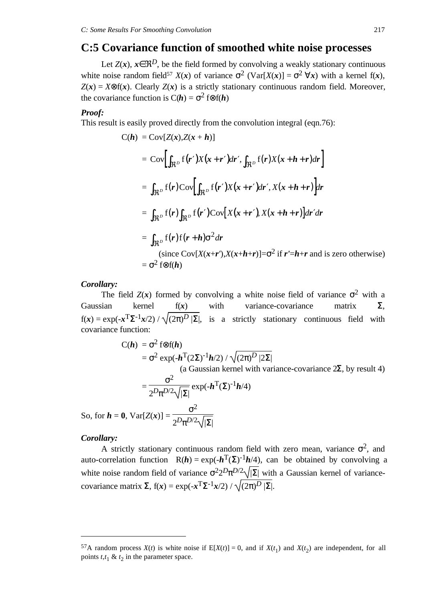### **C:5 Covariance function of smoothed white noise processes**

Let  $Z(x)$ ,  $x \in \mathbb{R}^D$ , be the field formed by convolving a weakly stationary continuous white noise random field<sup>57</sup> *X*(*x*) of variance  $\sigma^2$  (Var[*X*(*x*)] =  $\sigma^2$   $\forall$ *x*) with a kernel f(*x*),  $Z(x) = X \otimes f(x)$ . Clearly  $Z(x)$  is a strictly stationary continuous random field. Moreover, the covariance function is  $C(h) = \sigma^2$  f⊗f(*h*)

#### *Proof:*

This result is easily proved directly from the convolution integral (eqn.76):

$$
C(\boldsymbol{h}) = \text{Cov}[Z(\boldsymbol{x}), Z(\boldsymbol{x} + \boldsymbol{h})]
$$
  
\n
$$
= \text{Cov}\Big[\int_{\Re^D} f(\boldsymbol{r}') X(\boldsymbol{x} + \boldsymbol{r}') d\boldsymbol{r}', \int_{\Re^D} f(\boldsymbol{r}) X(\boldsymbol{x} + \boldsymbol{h} + \boldsymbol{r}) d\boldsymbol{r}\Big]
$$
  
\n
$$
= \int_{\Re^D} f(\boldsymbol{r}) \text{Cov}\Big[\int_{\Re^D} f(\boldsymbol{r}') X(\boldsymbol{x} + \boldsymbol{r}') d\boldsymbol{r}', X(\boldsymbol{x} + \boldsymbol{h} + \boldsymbol{r})\Big] d\boldsymbol{r}
$$
  
\n
$$
= \int_{\Re^D} f(\boldsymbol{r}) \int_{\Re^D} f(\boldsymbol{r}') \text{Cov}[X(\boldsymbol{x} + \boldsymbol{r}'), X(\boldsymbol{x} + \boldsymbol{h} + \boldsymbol{r})] d\boldsymbol{r}' d\boldsymbol{r}
$$
  
\n
$$
= \int_{\Re^D} f(\boldsymbol{r}) f(\boldsymbol{r} + \boldsymbol{h}) \sigma^2 d\boldsymbol{r}
$$
  
\n(since  $\text{Cov}[X(\boldsymbol{x} + \boldsymbol{r}'), X(\boldsymbol{x} + \boldsymbol{h} + \boldsymbol{r})] = \sigma^2$  if  $\boldsymbol{r}' = \boldsymbol{h} + \boldsymbol{r}$  and is zero otherwise)  
\n
$$
= \sigma^2 f \otimes f(\boldsymbol{h})
$$

#### *Corollary:*

The field  $Z(x)$  formed by convolving a white noise field of variance  $\sigma^2$  with a Gaussian kernel  $f(x)$  with variance-covariance matrix  $\Sigma$ ,  $f(x) = \exp(-x^T \Sigma^{-1} x/2) / \sqrt{(2\pi)^D |\Sigma|}$ , is a strictly stationary continuous field with covariance function:

$$
C(\boldsymbol{h}) = \sigma^2 f \otimes f(\boldsymbol{h})
$$
  
=  $\sigma^2 \exp(-\boldsymbol{h}^T (2\Sigma)^{-1} \boldsymbol{h}/2) / \sqrt{(2\pi)^D |2\Sigma|}$   
(a Gaussian kernel with variance-covariance 2\Sigma, by result 4)  
=  $\frac{\sigma^2}{2^D \pi^{D/2} \sqrt{|\Sigma|}} \exp(-\boldsymbol{h}^T (\Sigma)^{-1} \boldsymbol{h}/4)$   
So, for  $\boldsymbol{h} = 0$ ,  $Var[Z(\boldsymbol{x})] = \frac{\sigma^2}{2^D \pi^{D/2} \sqrt{|\Sigma|}}$ 

#### *Corollary:*

-

A strictly stationary continuous random field with zero mean, variance  $\sigma^2$ , and auto-correlation function  $R(h) = \exp(-h^T(\Sigma)^{-1}h/4)$ , can be obtained by convolving a white noise random field of variance  $\sigma^2 2^D \pi^{D/2} \sqrt{|\Sigma|}$  with a Gaussian kernel of variancecovariance matrix  $\Sigma$ ,  $f(x) = \exp(-x^T \Sigma^{-1} x/2) / \sqrt{(2\pi)^D |\Sigma|}$ .

<sup>57</sup>A random process  $X(t)$  is white noise if  $E[X(t)] = 0$ , and if  $X(t_1)$  and  $X(t_2)$  are independent, for all points  $t, t_1 \& t_2$  in the parameter space.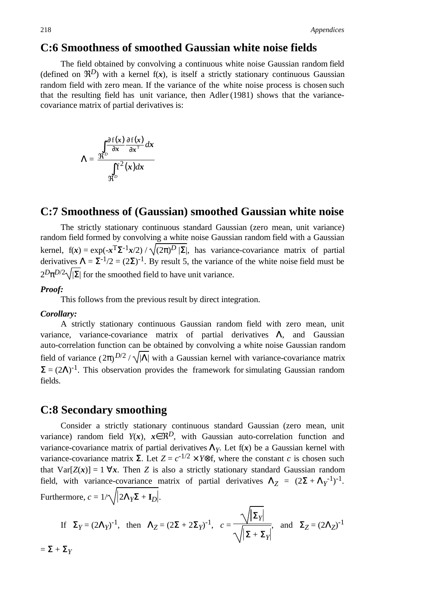### **C:6 Smoothness of smoothed Gaussian white noise fields**

The field obtained by convolving a continuous white noise Gaussian random field (defined on  $\mathfrak{R}^D$ ) with a kernel  $f(x)$ , is itself a strictly stationary continuous Gaussian random field with zero mean. If the variance of the white noise process is chosen such that the resulting field has unit variance, then Adler (1981) shows that the variancecovariance matrix of partial derivatives is:

$$
\Lambda = \frac{\int_{\Re^D} \frac{\partial f(x)}{\partial x} \frac{\partial f(x)}{\partial x^{\mathrm{T}}} dx}{\int_{\Re^D} f^2(x) dx}
$$

### **C:7 Smoothness of (Gaussian) smoothed Gaussian white noise**

The strictly stationary continuous standard Gaussian (zero mean, unit variance) random field formed by convolving a white noise Gaussian random field with a Gaussian kernel,  $f(x) = \exp(-x^T \Sigma^{-1} x/2) / \sqrt{(2\pi)^D |\Sigma|}$ , has variance-covariance matrix of partial derivatives  $\Lambda = \Sigma^{-1/2} = (2\Sigma)^{-1}$ . By result 5, the variance of the white noise field must be  $2^D \pi^{D/2} \sqrt{|\Sigma|}$  for the smoothed field to have unit variance.

### *Proof:*

This follows from the previous result by direct integration.

#### *Corollary:*

A strictly stationary continuous Gaussian random field with zero mean, unit variance, variance-covariance matrix of partial derivatives Λ, and Gaussian auto-correlation function can be obtained by convolving a white noise Gaussian random field of variance  $(2\pi)^{D/2}/\sqrt{|\Lambda|}$  with a Gaussian kernel with variance-covariance matrix  $\Sigma = (2\Lambda)^{-1}$ . This observation provides the framework for simulating Gaussian random fields.

### **C:8 Secondary smoothing**

Consider a strictly stationary continuous standard Gaussian (zero mean, unit variance) random field  $Y(x)$ ,  $x \in \mathbb{R}^D$ , with Gaussian auto-correlation function and variance-covariance matrix of partial derivatives  $\Lambda_Y$ . Let  $f(x)$  be a Gaussian kernel with variance-covariance matrix Σ. Let  $Z = c^{-1/2} \times Y \otimes f$ , where the constant *c* is chosen such that  $Var[Z(x)] = 1 \forall x$ . Then *Z* is also a strictly stationary standard Gaussian random field, with variance-covariance matrix of partial derivatives  $\Lambda_Z = (2\Sigma + \Lambda_Y^{-1})^{-1}$ . Furthermore,  $c = 1/\sqrt{2\mathbf{\Lambda}_Y\mathbf{\Sigma} + \mathbf{I}_D}$ .

If 
$$
\Sigma_Y = (2\Lambda_Y)^{-1}
$$
, then  $\Lambda_Z = (2\Sigma + 2\Sigma_Y)^{-1}$ ,  $c = \frac{\sqrt{|\Sigma_Y|}}{\sqrt{|\Sigma + \Sigma_Y|}}$ , and  $\Sigma_Z = (2\Lambda_Z)^{-1}$ 

$$
= \Sigma + \Sigma_Y
$$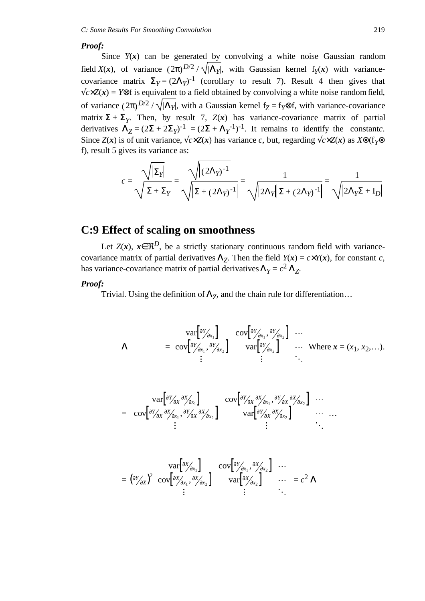#### *Proof:*

Since  $Y(x)$  can be generated by convolving a white noise Gaussian random field *X*(*x*), of variance  $(2\pi)^{D/2}/\sqrt{|\Lambda_y|}$ , with Gaussian kernel f<sub>*Y*</sub>(*x*) with variancecovariance matrix  $\Sigma_Y = (2\Lambda_Y)^{-1}$  (corollary to result 7). Result 4 then gives that  $\sqrt{c \times Z(x)}$  = *Y*⊗f is equivalent to a field obtained by convolving a white noise random field, of variance  $(2\pi)^{D/2}/\sqrt{|\Lambda_{\nu}|}$ , with a Gaussian kernel  $f_{\mathbf{Z}} = f_{\mathbf{Y}} \otimes f$ , with variance-covariance matrix  $\Sigma + \Sigma_Y$ . Then, by result 7,  $Z(x)$  has variance-covariance matrix of partial derivatives  $\Lambda_Z = (2\Sigma + 2\Sigma_Y)^{-1} = (2\Sigma + \Lambda_Y^{-1})^{-1}$ . It remains to identify the constants. Since *Z*(*x*) is of unit variance, √*c*×*Z*(*x*) has variance *c*, but, regarding √*c*×*Z*(*x*) as *X*⊗(f*Y*⊗ f), result 5 gives its variance as:

$$
c = \frac{\sqrt{|\Sigma_Y|}}{\sqrt{|\Sigma + \Sigma_Y|}} = \frac{\sqrt{|(2\Lambda_Y)^{-1}|}}{\sqrt{|\Sigma + (2\Lambda_Y)^{-1}|}} = \frac{1}{\sqrt{|2\Lambda_Y||\Sigma + (2\Lambda_Y)^{-1}|}} = \frac{1}{\sqrt{|2\Lambda_Y\Sigma + I_D|}}
$$

### **C:9 Effect of scaling on smoothness**

Let  $Z(x)$ ,  $x \in \mathbb{R}^D$ , be a strictly stationary continuous random field with variancecovariance matrix of partial derivatives  $\Lambda_Z$ . Then the field  $Y(x) = c \times Y(x)$ , for constant *c*, has variance-covariance matrix of partial derivatives  $\Lambda_Y = c^2 \Lambda_Z$ .

#### *Proof:*

Trivial. Using the definition of  $\Lambda_Z$ , and the chain rule for differentiation...

$$
\Lambda = \begin{pmatrix} \text{var}[\frac{\partial Y}{\partial x_1}] & \text{cov}[\frac{\partial Y}{\partial x_1}, \frac{\partial Y}{\partial x_2}] & \cdots \\ \text{cov}[\frac{\partial Y}{\partial x_1}, \frac{\partial Y}{\partial x_2}] & \text{var}[\frac{\partial Y}{\partial x_2}] & \cdots \\ \vdots & \vdots & \ddots \end{pmatrix} \text{Where } \mathbf{x} = (x_1, x_2, \dots).
$$
\n
$$
\begin{pmatrix} \text{var}[\frac{\partial Y}{\partial x} \frac{\partial X}{\partial x_1}] & \text{cov}[\frac{\partial Y}{\partial x} \frac{\partial X}{\partial x_1}, \frac{\partial Y}{\partial x_1} \frac{\partial X}{\partial x_2}] & \cdots \end{pmatrix}
$$

$$
= \left[ \text{cov}\left[\frac{\partial Y}{\partial x} \frac{\partial X}{\partial x_1}, \frac{\partial Y}{\partial x} \frac{\partial X}{\partial x_2}\right] \left.\begin{array}{c}\n\text{cov}\left[\frac{\partial Y}{\partial x} \frac{\partial X}{\partial x_1}, \frac{\partial Y}{\partial x_2}\right] & \cdots \\
\text{var}\left[\frac{\partial Y}{\partial x} \frac{\partial X}{\partial x_2}\right] & \cdots \\
\vdots & \ddots\n\end{array}\right] \dots
$$

$$
= \left(\begin{array}{cc} \nabla \text{var}\left[\begin{matrix} \frac{\partial x}{\partial x_1} \end{matrix}\right] & \text{cov}\left[\begin{matrix} \frac{\partial x}{\partial x_1}, \frac{\partial x}{\partial x_2} \end{matrix}\right] & \cdots \\ \nabla \text{cov}\left[\begin{matrix} \frac{\partial x}{\partial x_1}, \frac{\partial x}{\partial x_2} \end{matrix}\right] & \text{var}\left[\begin{matrix} \frac{\partial x}{\partial x_1} \end{matrix}\right] & \cdots \\ \nabla \text{var}\left[\begin{matrix} \frac{\partial x}{\partial x_2} \end{matrix}\right] & \cdots \\ \nabla \text{var}\left[\begin{matrix} \frac{\partial x}{\partial x_2} \end{matrix}\right] & \cdots \n\end{array}\right] = c^2 \Lambda
$$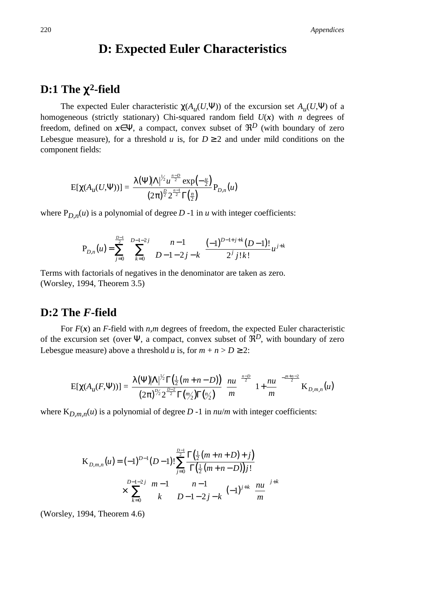# **D: Expected Euler Characteristics**

# **D:1 The** χ**2-field**

The expected Euler characteristic  $\gamma(A_u(U, \Psi))$  of the excursion set  $A_u(U, \Psi)$  of a homogeneous (strictly stationary) Chi-squared random field  $U(x)$  with *n* degrees of freedom, defined on  $x \in \Psi$ , a compact, convex subset of  $\mathcal{R}^D$  (with boundary of zero Lebesgue measure), for a threshold *u* is, for  $D \ge 2$  and under mild conditions on the component fields:

$$
E[\chi(A_{\mu}(U,\Psi))] = \frac{\lambda(\Psi)|\Lambda|^{1/2}u^{\frac{n-D}{2}}\exp(-\frac{u}{2})}{(2\pi)^{\frac{D}{2}}2^{\frac{n-1}{2}}\Gamma(\frac{n}{2})}P_{D,n}(u)
$$

where  $P_{D,n}(u)$  is a polynomial of degree  $D-1$  in  $u$  with integer coefficients:

$$
\mathbf{P}_{D,n}(u) = \sum_{j=0}^{\frac{D-1}{2}} \sum_{k=0}^{D-1-2j} {n-1 \choose D-1-2j-k} \frac{(-1)^{D-1+j+k}(D-1)!}{2^j j! k!} u^{j+k}
$$

Terms with factorials of negatives in the denominator are taken as zero. (Worsley, 1994, Theorem 3.5)

### **D:2 The** *F***-field**

For  $F(x)$  an *F*-field with *n,m* degrees of freedom, the expected Euler characteristic of the excursion set (over  $\Psi$ , a compact, convex subset of  $\mathfrak{R}^D$ , with boundary of zero Lebesgue measure) above a threshold *u* is, for  $m + n > D \ge 2$ :

$$
E[\chi(A_u(F,\Psi))] = \frac{\lambda(\Psi)|\Lambda|^{1/2}\Gamma(\frac{1}{2}(m+n-D))}{(2\pi)^{1/2}2^{\frac{D-2}{2}}\Gamma(\frac{m}{2})\Gamma(\frac{n}{2})}\left(\frac{nu}{m}\right)^{\frac{n-D}{2}}\left(1+\frac{nu}{m}\right)^{-\frac{m+n-2}{2}}K_{D,m,n}(u)
$$

where  $K_{D,m,n}(u)$  is a polynomial of degree  $D-1$  in  $nu/m$  with integer coefficients:

$$
\begin{aligned} \n\mathbf{K}_{D,m,n}(u) &= (-1)^{D-1}(D-1)! \sum_{j=0}^{D-1} \frac{\Gamma\left(\frac{1}{2}(m+n+D)+j\right)}{\Gamma\left(\frac{1}{2}(m+n-D)\right)j!} \\ \n&\times \sum_{k=0}^{D-1-2j} \binom{m-1}{k} \binom{n-1}{D-1-2j-k} (-1)^{j+k} \left(\frac{nu}{m}\right)^{j+k} \n\end{aligned}
$$

(Worsley, 1994, Theorem 4.6)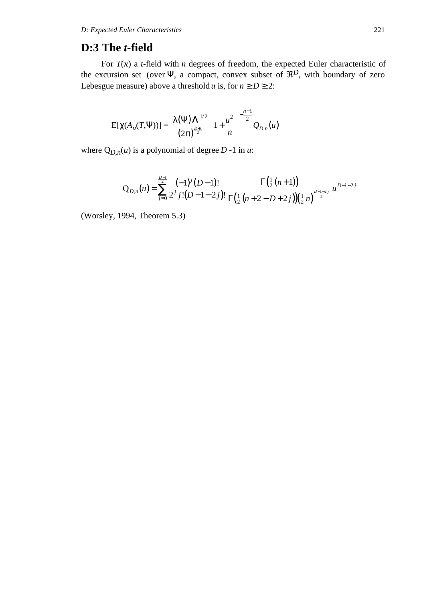### **D:3 The** *t***-field**

For  $T(x)$  a *t*-field with *n* degrees of freedom, the expected Euler characteristic of the excursion set (over  $\Psi$ , a compact, convex subset of  $\mathcal{R}^D$ , with boundary of zero Lebesgue measure) above a threshold *u* is, for  $n \ge D \ge 2$ :

$$
E[\chi(A_u(T,\Psi))] = \frac{\lambda(\Psi)|\Lambda|^{1/2}}{(2\pi)^{\frac{D+1}{2}}} \left(1 + \frac{u^2}{n}\right)^{-\frac{n-1}{2}} Q_{D,n}(u)
$$

where  $Q_{D,n}(u)$  is a polynomial of degree  $D-1$  in  $u$ :

$$
Q_{D,n}(u) = \sum_{j=0}^{\frac{D-1}{2}} \frac{(-1)^j (D-1)!}{2^j j! (D-1-2j)!} \frac{\Gamma(\frac{1}{2}(n+1))}{\Gamma(\frac{1}{2}(n+2-D+2j))(\frac{1}{2}n)^{\frac{D-1-2j}{2}}} u^{D-1-2j}
$$

(Worsley, 1994, Theorem 5.3)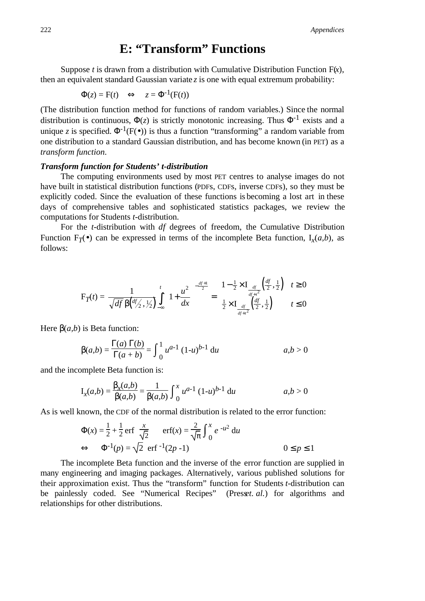# **E: "Transform" Functions**

Suppose *t* is drawn from a distribution with Cumulative Distribution Function  $F(x)$ , then an equivalent standard Gaussian variate  $z$  is one with equal extremum probability:

$$
\Phi(z) = F(t) \iff z = \Phi^{-1}(F(t))
$$

(The distribution function method for functions of random variables.) Since the normal distribution is continuous,  $\Phi(z)$  is strictly monotonic increasing. Thus  $\Phi^{-1}$  exists and a unique *z* is specified.  $\Phi^{-1}(F(\bullet))$  is thus a function "transforming" a random variable from one distribution to a standard Gaussian distribution, and has become known (in PET) as a *transform function*.

#### *Transform function for Students' t-distribution*

The computing environments used by most PET centres to analyse images do not have built in statistical distribution functions (PDFs, CDFs, inverse CDFs), so they must be explicitly coded. Since the evaluation of these functions is becoming a lost art in these days of comprehensive tables and sophisticated statistics packages, we review the computations for Students *t*-distribution.

For the *t*-distribution with *df* degrees of freedom, the Cumulative Distribution Function  $F_T(\bullet)$  can be expressed in terms of the incomplete Beta function,  $I_r(a,b)$ , as follows:

$$
F_T(t) = \frac{1}{\sqrt{df} \beta \left(\frac{df}{2}, \frac{1}{2}\right)} \int_{-\infty}^{t} \left(1 + \frac{u^2}{dx}\right)^{-\frac{df+1}{2}} = \begin{cases} 1 - \frac{1}{2} \times I_{\frac{df}{df+t^2}}\left(\frac{df}{2}, \frac{1}{2}\right) & t \ge 0\\ \frac{1}{2} \times I_{\frac{df}{df+t^2}}\left(\frac{df}{2}, \frac{1}{2}\right) & t \le 0 \end{cases}
$$

Here  $\beta(a,b)$  is Beta function:

$$
\beta(a,b) = \frac{\Gamma(a)\,\Gamma(b)}{\Gamma(a+b)} = \int_0^1 u^{a-1} (1-u)^{b-1} \, \mathrm{d}u \qquad a, b > 0
$$

and the incomplete Beta function is:

$$
I_x(a,b) = \frac{\beta_x(a,b)}{\beta(a,b)} = \frac{1}{\beta(a,b)} \int_0^x u^{a-1} (1-u)^{b-1} du
$$
 *a,b > 0*

As is well known, the CDF of the normal distribution is related to the error function:

$$
\Phi(x) = \frac{1}{2} + \frac{1}{2} \operatorname{erf}\left(\frac{x}{\sqrt{2}}\right) \quad \operatorname{erf}(x) = \frac{2}{\sqrt{\pi}} \int_0^x e^{-u^2} du
$$
\n
$$
\Leftrightarrow \quad \Phi^{-1}(p) = \sqrt{2} \text{ erf}^{-1}(2p - 1) \qquad 0 \le p \le 1
$$

The incomplete Beta function and the inverse of the error function are supplied in many engineering and imaging packages. Alternatively, various published solutions for their approximation exist. Thus the "transform" function for Students *t*-distribution can be painlessly coded. See "Numerical Recipes" (Presset. al.) for algorithms and relationships for other distributions.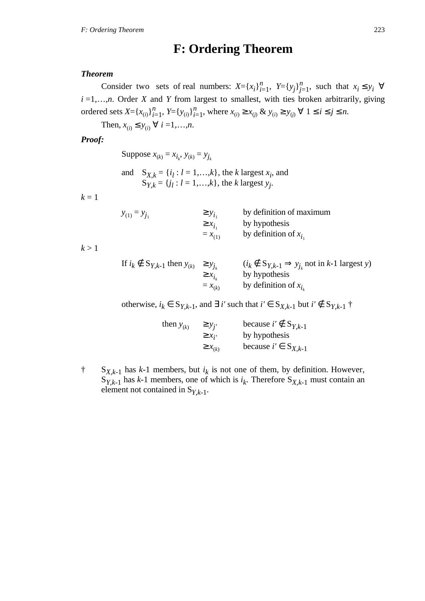# **F: Ordering Theorem**

### *Theorem*

Consider two sets of real numbers:  $X = \{x_i\}_{i=1}^n$ ,  $Y = \{y_j\}_{j=1}^n$ , such that  $x_i \leq y_i \quad \forall$  $i = 1, \ldots, n$ . Order *X* and *Y* from largest to smallest, with ties broken arbitrarily, giving ordered sets  $X = \{x_{(i)}\}_{i=1}^n$ ,  $Y = \{y_{(i)}\}_{i=1}^n$ , where  $x_{(i)} \ge x_{(j)} \& y_{(i)} \ge y_{(j)} \forall 1 \le i \le j \le n$ .

Then,  $x_{(i)} \le y_{(i)} \ \forall \ i = 1, ..., n$ .

### *Proof:*

Suppose  $x_{(k)} = x_{i_k}, y_{(k)} = y_{j_k}$ 

and  $S_{X,k} = \{i_l : l = 1,...,k\}$ , the *k* largest  $x_i$ , and  $S_{Y,k} = \{j_l : l = 1, ..., k\}$ , the *k* largest *y<sub>j</sub>*.

 $k = 1$ 

| $y_{(1)} = y_{j_1}$ | $\geq y_{i_{1}}$ | by definition of maximum |
|---------------------|------------------|--------------------------|
|                     | $\geq x_{i}$     | by hypothesis            |
|                     | $= x_{(1)}$      | by definition of $x_i$   |

 $k > 1$ 

| If $i_k \notin S_{Y,k-1}$ then $y_{(k)} \ge y_{j_k}$ |              | $(i_k \notin S_{Y,k-1} \Rightarrow y_{i_k} \text{ not in } k-1 \text{ largest } y)$ |
|------------------------------------------------------|--------------|-------------------------------------------------------------------------------------|
|                                                      | $\geq x_{i}$ | by hypothesis                                                                       |
|                                                      | $=x_{(k)}$   | by definition of $x_i$                                                              |

otherwise,  $i_k$  ∈  $S_{Y,k-1}$ , and  $\exists$  *i'* such that  $i'$  ∈  $S_{X,k-1}$  but  $i'$  ∉  $S_{Y,k-1}$  †

| then $y_{(k)}$ | $\geq y_{i'}$  | because $i' \notin S_{Y,k-1}$ |
|----------------|----------------|-------------------------------|
|                | $\geq x_{i'}$  | by hypothesis                 |
|                | $\geq x_{(k)}$ | because $i' \in S_{X,k-1}$    |

 $\uparrow$  S<sub>X,k-1</sub> has k-1 members, but  $i_k$  is not one of them, by definition. However,  $S_{Y,k-1}$  has *k*-1 members, one of which is  $i_k$ . Therefore  $S_{X,k-1}$  must contain an element not contained in  $S_{Y,k-1}$ .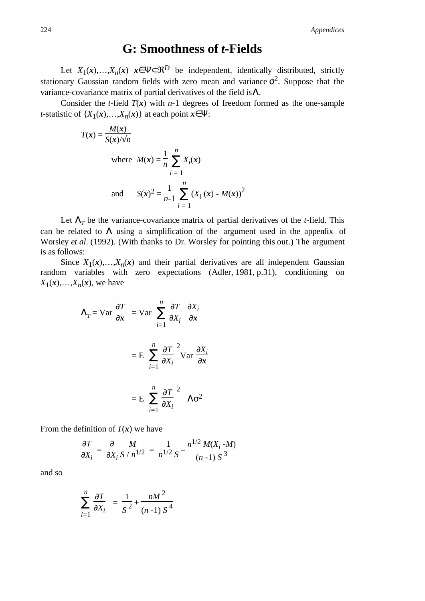224 *Appendices*

# **G: Smoothness of** *t***-Fields**

Let  $X_1(x),...,X_n(x)$   $x \in \Psi \subset \mathbb{R}^D$  be independent, identically distributed, strictly stationary Gaussian random fields with zero mean and variance  $\sigma^2$ . Suppose that the variance-covariance matrix of partial derivatives of the field is  $\Lambda$ .

Consider the *t*-field  $T(x)$  with *n*-1 degrees of freedom formed as the one-sample *t*-statistic of  $\{X_1(\mathbf{x}),...,X_n(\mathbf{x})\}$  at each point  $\mathbf{x} \in \Psi$ :

$$
T(\mathbf{x}) = \frac{M(\mathbf{x})}{S(\mathbf{x}) / \sqrt{n}}
$$
  
where  $M(\mathbf{x}) = \frac{1}{n} \sum_{i=1}^{n} X_i(\mathbf{x})$   
and  $S(\mathbf{x})^2 = \frac{1}{n-1} \sum_{i=1}^{n} (X_i(\mathbf{x}) - M(\mathbf{x}))^2$ 

Let  $\Lambda$ <sub>*T*</sub> be the variance-covariance matrix of partial derivatives of the *t*-field. This can be related to  $\Lambda$  using a simplification of the argument used in the appendix of Worsley *et al*. (1992). (With thanks to Dr. Worsley for pointing this out.) The argument is as follows:

Since  $X_1(x),...,X_n(x)$  and their partial derivatives are all independent Gaussian random variables with zero expectations (Adler, 1981, p.31), conditioning on  $X_1(x),...,X_n(x)$ , we have

$$
\Lambda_T = \text{Var}\left(\frac{\partial T}{\partial x}\right) = \text{Var}\left(\sum_{i=1}^n \left(\frac{\partial T}{\partial x_i}\right)\left(\frac{\partial x_i}{\partial x}\right)\right)
$$

$$
= E\left[\sum_{i=1}^n \left(\frac{\partial T}{\partial x_i}\right)^2 \text{Var}\left(\frac{\partial x_i}{\partial x}\right)\right]
$$

$$
= E\left[\sum_{i=1}^n \left(\frac{\partial T}{\partial x_i}\right)^2\right] \Lambda \sigma^2
$$

From the definition of  $T(x)$  we have

$$
\frac{\partial T}{\partial X_i} = \frac{\partial}{\partial X_i} \frac{M}{S/n^{1/2}} = \frac{1}{n^{1/2} S} - \frac{n^{1/2} M(X_i - M)}{(n-1) S^3}
$$

and so

$$
\sum_{i=1}^{n} \left( \frac{\partial T}{\partial X_i} \right) = \frac{1}{S^2} + \frac{nM^2}{(n-1) S^4}
$$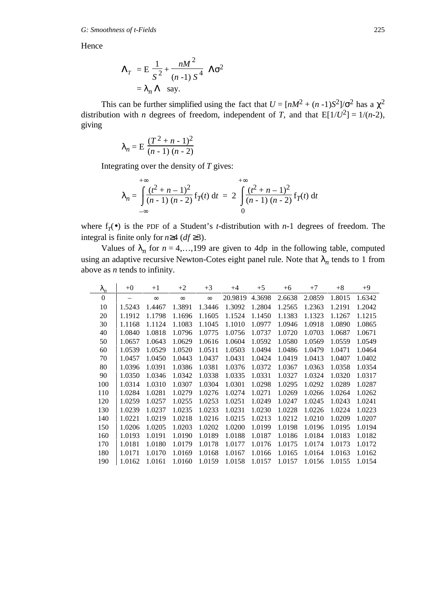Hence

$$
\Lambda_T = E \left[ \frac{1}{S^2} + \frac{nM^2}{(n-1) S^4} \right] \Lambda \sigma^2
$$
  
=  $\lambda_n \Lambda$  say.

This can be further simplified using the fact that  $U = [nM^2 + (n-1)S^2]/\sigma^2$  has a  $\chi^2$ distribution with *n* degrees of freedom, independent of *T*, and that  $E[1/U^2] = 1/(n-2)$ , giving

$$
\lambda_n = \mathbf{E} \left[ \frac{(T^2 + n - 1)^2}{(n - 1)(n - 2)} \right]
$$

Integrating over the density of *T* gives:

$$
\lambda_n = \int_{-\infty}^{+\infty} \frac{(t^2 + n - 1)^2}{(n - 1)(n - 2)} f_T(t) dt = 2 \int_{0}^{+\infty} \frac{(t^2 + n - 1)^2}{(n - 1)(n - 2)} f_T(t) dt
$$

where  $f_T(\bullet)$  is the PDF of a Student's *t*-distribution with *n*-1 degrees of freedom. The integral is finite only for *n*≥4 (*df* ≥3).

Values of  $\lambda_n$  for  $n = 4,...,199$  are given to 4dp in the following table, computed using an adaptive recursive Newton-Cotes eight panel rule. Note that  $\lambda_n$  tends to 1 from above as *n* tends to infinity.

| $\lambda_n$    | $+0$   | $+1$     | $+2$     | $+3$     | $+4$    | $+5$   | $+6$   | $+7$   | $+8$   | $+9$   |
|----------------|--------|----------|----------|----------|---------|--------|--------|--------|--------|--------|
| $\overline{0}$ |        | $\infty$ | $\infty$ | $\infty$ | 20.9819 | 4.3698 | 2.6638 | 2.0859 | 1.8015 | 1.6342 |
| 10             | 1.5243 | 1.4467   | 1.3891   | 1.3446   | 1.3092  | 1.2804 | 1.2565 | 1.2363 | 1.2191 | 1.2042 |
| 20             | 1.1912 | 1.1798   | 1.1696   | 1.1605   | 1.1524  | 1.1450 | 1.1383 | 1.1323 | 1.1267 | 1.1215 |
| 30             | 1.1168 | 1.1124   | 1.1083   | 1.1045   | 1.1010  | 1.0977 | 1.0946 | 1.0918 | 1.0890 | 1.0865 |
| 40             | 1.0840 | 1.0818   | 1.0796   | 1.0775   | 1.0756  | 1.0737 | 1.0720 | 1.0703 | 1.0687 | 1.0671 |
| 50             | 1.0657 | 1.0643   | 1.0629   | 1.0616   | 1.0604  | 1.0592 | 1.0580 | 1.0569 | 1.0559 | 1.0549 |
| 60             | 1.0539 | 1.0529   | 1.0520   | 1.0511   | 1.0503  | 1.0494 | 1.0486 | 1.0479 | 1.0471 | 1.0464 |
| 70             | 1.0457 | 1.0450   | 1.0443   | 1.0437   | 1.0431  | 1.0424 | 1.0419 | 1.0413 | 1.0407 | 1.0402 |
| 80             | 1.0396 | 1.0391   | 1.0386   | 1.0381   | 1.0376  | 1.0372 | 1.0367 | 1.0363 | 1.0358 | 1.0354 |
| 90             | 1.0350 | 1.0346   | 1.0342   | 1.0338   | 1.0335  | 1.0331 | 1.0327 | 1.0324 | 1.0320 | 1.0317 |
| 100            | 1.0314 | 1.0310   | 1.0307   | 1.0304   | 1.0301  | 1.0298 | 1.0295 | 1.0292 | 1.0289 | 1.0287 |
| 110            | 1.0284 | 1.0281   | 1.0279   | 1.0276   | 1.0274  | 1.0271 | 1.0269 | 1.0266 | 1.0264 | 1.0262 |
| 120            | 1.0259 | 1.0257   | 1.0255   | 1.0253   | 1.0251  | 1.0249 | 1.0247 | 1.0245 | 1.0243 | 1.0241 |
| 130            | 1.0239 | 1.0237   | 1.0235   | 1.0233   | 1.0231  | 1.0230 | 1.0228 | 1.0226 | 1.0224 | 1.0223 |
| 140            | 1.0221 | 1.0219   | 1.0218   | 1.0216   | 1.0215  | 1.0213 | 1.0212 | 1.0210 | 1.0209 | 1.0207 |
| 150            | 1.0206 | 1.0205   | 1.0203   | 1.0202   | 1.0200  | 1.0199 | 1.0198 | 1.0196 | 1.0195 | 1.0194 |
| 160            | 1.0193 | 1.0191   | 1.0190   | 1.0189   | 1.0188  | 1.0187 | 1.0186 | 1.0184 | 1.0183 | 1.0182 |
| 170            | 1.0181 | 1.0180   | 1.0179   | 1.0178   | 1.0177  | 1.0176 | 1.0175 | 1.0174 | 1.0173 | 1.0172 |
| 180            | 1.0171 | 1.0170   | 1.0169   | 1.0168   | 1.0167  | 1.0166 | 1.0165 | 1.0164 | 1.0163 | 1.0162 |
| 190            | 1.0162 | 1.0161   | 1.0160   | 1.0159   | 1.0158  | 1.0157 | 1.0157 | 1.0156 | 1.0155 | 1.0154 |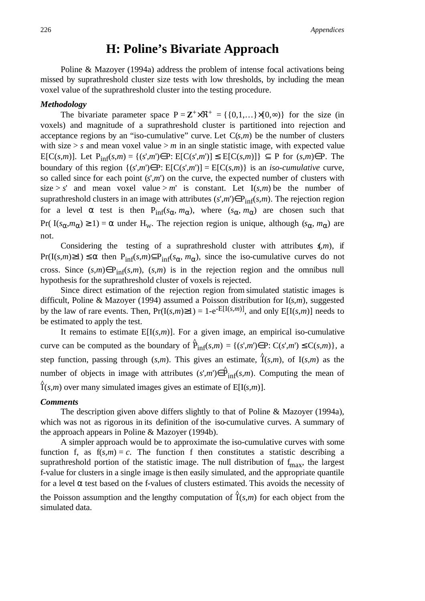226 *Appendices*

# **H: Poline's Bivariate Approach**

Poline & Mazoyer (1994a) address the problem of intense focal activations being missed by suprathreshold cluster size tests with low thresholds, by including the mean voxel value of the suprathreshold cluster into the testing procedure.

#### *Methodology*

The bivariate parameter space  $P = \mathbb{Z}^+ \times \mathbb{R}^+ = \{ \{0,1,...\} \times [0,\infty) \}$  for the size (in voxels) and magnitude of a suprathreshold cluster is partitioned into rejection and acceptance regions by an "iso-cumulative" curve. Let  $C(s,m)$  be the number of clusters with size  $> s$  and mean voxel value  $> m$  in an single statistic image, with expected value E[C(*s,m*)]. Let Pinf(*s*,*m*) = {(*s*',*m*')∈P: E[C(*s*',*m*')] ≤ E[C(*s*,*m*)]} ⊆ P for (*s*,*m*)∈P. The boundary of this region  $\{(s', m') \in P: E[C(s', m')] = E[C(s, m)]\}$  is an *iso-cumulative* curve, so called since for each point (*s*',*m*') on the curve, the expected number of clusters with size > *s*' and mean voxel value >  $m'$  is constant. Let I(*s*,*m*) be the number of suprathreshold clusters in an image with attributes  $(s', m') \in P_{inf}(s, m)$ . The rejection region for a level  $\alpha$  test is then  $P_{inf}(s_{\alpha}, m_{\alpha})$ , where  $(s_{\alpha}, m_{\alpha})$  are chosen such that Pr( I( $s_{\alpha}, m_{\alpha}$ ) ≥ 1) =  $\alpha$  under H<sub>w</sub>. The rejection region is unique, although ( $s_{\alpha}, m_{\alpha}$ ) are not.

Considering the testing of a suprathreshold cluster with attributes  $\zeta$ ,*m*), if  $Pr(I(s,m) \ge 1) \le \alpha$  then  $P_{inf}(s,m) \subseteq P_{inf}(s_{\alpha},m_{\alpha})$ , since the iso-cumulative curves do not cross. Since  $(s,m) \in P_{inf}(s,m)$ ,  $(s,m)$  is in the rejection region and the omnibus null hypothesis for the suprathreshold cluster of voxels is rejected.

Since direct estimation of the rejection region from simulated statistic images is difficult, Poline & Mazoyer (1994) assumed a Poisson distribution for I(*s*,*m*), suggested by the law of rare events. Then,  $Pr(I(s,m) \ge 1) = 1-e^{-E[I(s,m)]}$ , and only  $E[I(s,m)]$  needs to be estimated to apply the test.

It remains to estimate  $E[I(s,m)]$ . For a given image, an empirical iso-cumulative curve can be computed as the boundary of  $\hat{P}_{\text{inf}}(s,m) = \{(s',m') \in P: C(s',m') \le C(s,m)\}\)$ , a step function, passing through  $(s,m)$ . This gives an estimate,  $\hat{1}(s,m)$ , of I $(s,m)$  as the number of objects in image with attributes  $(s', m') \in \hat{P}_{inf}(s, m)$ . Computing the mean of  $\hat{I}(s,m)$  over many simulated images gives an estimate of E[I(*s*,*m*)].

#### *Comments*

The description given above differs slightly to that of Poline & Mazoyer (1994a), which was not as rigorous in its definition of the iso-cumulative curves. A summary of the approach appears in Poline & Mazoyer (1994b).

A simpler approach would be to approximate the iso-cumulative curves with some function f, as  $f(s,m) = c$ . The function f then constitutes a statistic describing a suprathreshold portion of the statistic image. The null distribution of  $f_{\text{max}}$ , the largest f-value for clusters in a single image is then easily simulated, and the appropriate quantile for a level  $\alpha$  test based on the f-values of clusters estimated. This avoids the necessity of

the Poisson assumption and the lengthy computation of  $\hat{I}(s,m)$  for each object from the simulated data.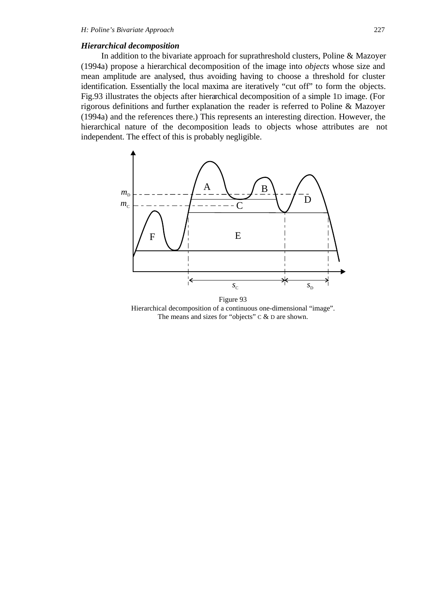### *Hierarchical decomposition*

In addition to the bivariate approach for suprathreshold clusters, Poline & Mazoyer (1994a) propose a hierarchical decomposition of the image into *objects* whose size and mean amplitude are analysed, thus avoiding having to choose a threshold for cluster identification. Essentially the local maxima are iteratively "cut off" to form the objects. Fig.93 illustrates the objects after hierarchical decomposition of a simple 1D image. (For rigorous definitions and further explanation the reader is referred to Poline & Mazoyer (1994a) and the references there.) This represents an interesting direction. However, the hierarchical nature of the decomposition leads to objects whose attributes are not independent. The effect of this is probably negligible.



Hierarchical decomposition of a continuous one-dimensional "image". The means and sizes for "objects" C & D are shown.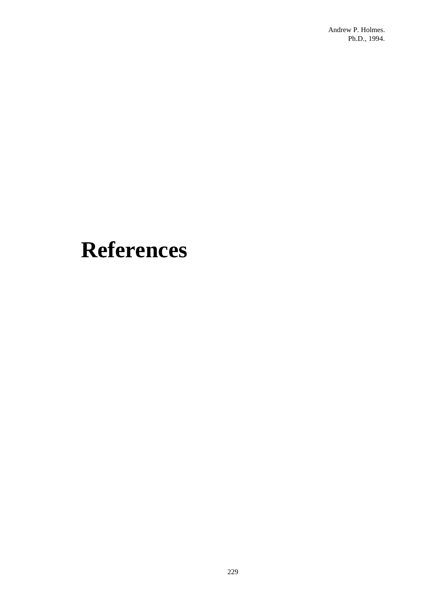# **References**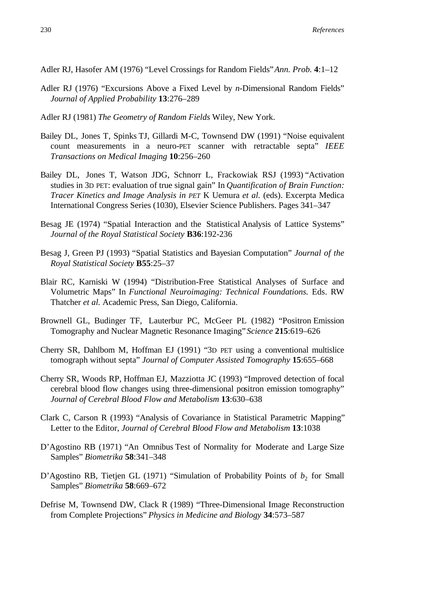- Adler RJ, Hasofer AM (1976) "Level Crossings for Random Fields" *Ann. Prob.* **4**:1–12
- Adler RJ (1976) "Excursions Above a Fixed Level by *n*-Dimensional Random Fields" *Journal of Applied Probability* **13**:276–289
- Adler RJ (1981) *The Geometry of Random Fields* Wiley, New York.
- Bailey DL, Jones T, Spinks TJ, Gillardi M-C, Townsend DW (1991) "Noise equivalent count measurements in a neuro-PET scanner with retractable septa" *IEEE Transactions on Medical Imaging* **10**:256–260
- Bailey DL, Jones T, Watson JDG, Schnorr L, Frackowiak RSJ (1993) "Activation studies in 3D PET: evaluation of true signal gain" In *Quantification of Brain Function: Tracer Kinetics and Image Analysis in PET* K Uemura *et al.* (eds). Excerpta Medica International Congress Series (1030), Elsevier Science Publishers. Pages 341–347
- Besag JE (1974) "Spatial Interaction and the Statistical Analysis of Lattice Systems" *Journal of the Royal Statistical Society* **B36**:192-236
- Besag J, Green PJ (1993) "Spatial Statistics and Bayesian Computation" *Journal of the Royal Statistical Society* **B55**:25–37
- Blair RC, Karniski W (1994) "Distribution-Free Statistical Analyses of Surface and Volumetric Maps" In *Functional Neuroimaging: Technical Foundations.* Eds. RW Thatcher *et al.* Academic Press, San Diego, California.
- Brownell GL, Budinger TF, Lauterbur PC, McGeer PL (1982) "Positron Emission Tomography and Nuclear Magnetic Resonance Imaging" *Science* **215**:619–626
- Cherry SR, Dahlbom M, Hoffman EJ (1991) "3D PET using a conventional multislice tomograph without septa" *Journal of Computer Assisted Tomography* **15**:655–668
- Cherry SR, Woods RP, Hoffman EJ, Mazziotta JC (1993) "Improved detection of focal cerebral blood flow changes using three-dimensional positron emission tomography" *Journal of Cerebral Blood Flow and Metabolism* **13**:630–638
- Clark C, Carson R (1993) "Analysis of Covariance in Statistical Parametric Mapping" Letter to the Editor, *Journal of Cerebral Blood Flow and Metabolism* **13**:1038
- D'Agostino RB (1971) "An Omnibus Test of Normality for Moderate and Large Size Samples" *Biometrika* **58**:341–348
- D'Agostino RB, Tietjen GL (1971) "Simulation of Probability Points of  $b<sub>2</sub>$  for Small Samples" *Biometrika* **58**:669–672
- Defrise M, Townsend DW, Clack R (1989) "Three-Dimensional Image Reconstruction from Complete Projections" *Physics in Medicine and Biology* **34**:573–587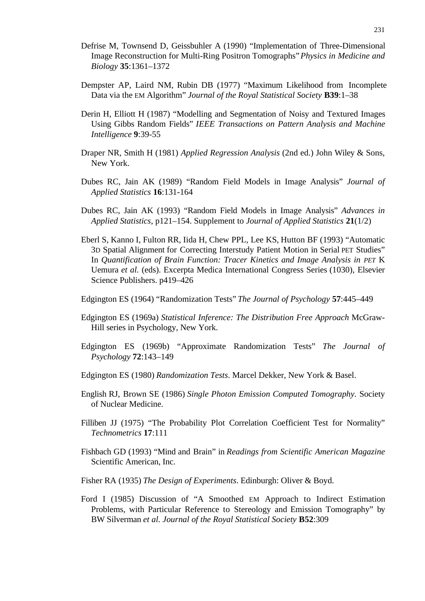- Defrise M, Townsend D, Geissbuhler A (1990) "Implementation of Three-Dimensional Image Reconstruction for Multi-Ring Positron Tomographs" *Physics in Medicine and Biology* **35**:1361–1372
- Dempster AP, Laird NM, Rubin DB (1977) "Maximum Likelihood from Incomplete Data via the EM Algorithm" *Journal of the Royal Statistical Society* **B39**:1–38
- Derin H, Elliott H (1987) "Modelling and Segmentation of Noisy and Textured Images Using Gibbs Random Fields" *IEEE Transactions on Pattern Analysis and Machine Intelligence* **9**:39-55
- Draper NR, Smith H (1981) *Applied Regression Analysis* (2nd ed.) John Wiley & Sons, New York.
- Dubes RC, Jain AK (1989) "Random Field Models in Image Analysis" *Journal of Applied Statistics* **16**:131-164
- Dubes RC, Jain AK (1993) "Random Field Models in Image Analysis" *Advances in Applied Statistics*, p121–154. Supplement to *Journal of Applied Statistics* **21**(1/2)
- Eberl S, Kanno I, Fulton RR, Iida H, Chew PPL, Lee KS, Hutton BF (1993) "Automatic 3D Spatial Alignment for Correcting Interstudy Patient Motion in Serial PET Studies" In *Quantification of Brain Function: Tracer Kinetics and Image Analysis in PET* K Uemura *et al.* (eds). Excerpta Medica International Congress Series (1030), Elsevier Science Publishers. p419–426
- Edgington ES (1964) "Randomization Tests" *The Journal of Psychology* **57**:445–449
- Edgington ES (1969a) *Statistical Inference: The Distribution Free Approach* McGraw-Hill series in Psychology, New York.
- Edgington ES (1969b) "Approximate Randomization Tests" *The Journal of Psychology* **72**:143–149
- Edgington ES (1980) *Randomization Tests*. Marcel Dekker, New York & Basel.
- English RJ, Brown SE (1986) *Single Photon Emission Computed Tomography.* Society of Nuclear Medicine.
- Filliben JJ (1975) "The Probability Plot Correlation Coefficient Test for Normality" *Technometrics* **17**:111
- Fishbach GD (1993) "Mind and Brain" in *Readings from Scientific American Magazine* Scientific American, Inc.
- Fisher RA (1935) *The Design of Experiments*. Edinburgh: Oliver & Boyd.
- Ford I (1985) Discussion of "A Smoothed EM Approach to Indirect Estimation Problems, with Particular Reference to Stereology and Emission Tomography" by BW Silverman *et al. Journal of the Royal Statistical Society* **B52**:309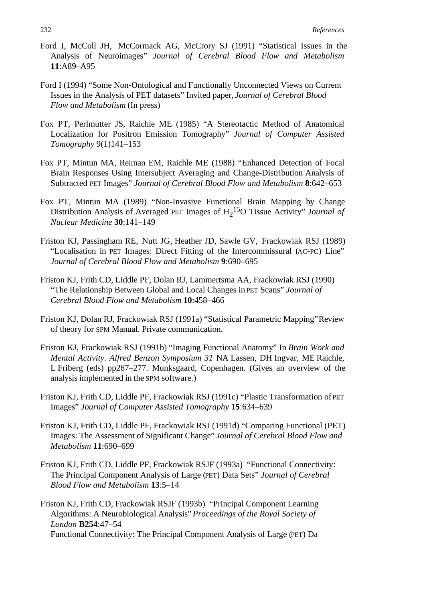- Ford I, McColl JH, McCormack AG, McCrory SJ (1991) "Statistical Issues in the Analysis of Neuroimages" *Journal of Cerebral Blood Flow and Metabolism* **11**:A89–A95
- Ford I (1994) "Some Non-Ontological and Functionally Unconnected Views on Current Issues in the Analysis of PET datasets" Invited paper, *Journal of Cerebral Blood Flow and Metabolism* (In press)
- Fox PT, Perlmutter JS, Raichle ME (1985) "A Stereotactic Method of Anatomical Localization for Positron Emission Tomography" *Journal of Computer Assisted Tomography* 9(1)141–153
- Fox PT, Mintun MA, Reiman EM, Raichle ME (1988) "Enhanced Detection of Focal Brain Responses Using Intersubject Averaging and Change-Distribution Analysis of Subtracted PET Images" *Journal of Cerebral Blood Flow and Metabolism* **8**:642–653
- Fox PT, Mintun MA (1989) "Non-Invasive Functional Brain Mapping by Change Distribution Analysis of Averaged PET Images of  $H_2$ <sup>15</sup>O Tissue Activity" *Journal of Nuclear Medicine* **30**:141–149
- Friston KJ, Passingham RE, Nutt JG, Heather JD, Sawle GV, Frackowiak RSJ (1989) "Localisation in PET Images: Direct Fitting of the Intercommissural (AC-PC) Line" *Journal of Cerebral Blood Flow and Metabolism* **9**:690–695
- Friston KJ, Frith CD, Liddle PF, Dolan RJ, Lammertsma AA, Frackowiak RSJ (1990) "The Relationship Between Global and Local Changes in PET Scans" *Journal of Cerebral Blood Flow and Metabolism* **10**:458–466
- Friston KJ, Dolan RJ, Frackowiak RSJ (1991a) "Statistical Parametric Mapping" Review of theory for SPM Manual. Private communication.
- Friston KJ, Frackowiak RSJ (1991b) "Imaging Functional Anatomy" In *Brain Work and Mental Activity. Alfred Benzon Symposium 31* NA Lassen, DH Ingvar, ME Raichle, L Friberg (eds) pp267–277. Munksgaard, Copenhagen. (Gives an overview of the analysis implemented in the SPM software.)
- Friston KJ, Frith CD, Liddle PF, Frackowiak RSJ (1991c) "Plastic Transformation of PET Images" *Journal of Computer Assisted Tomography* **15**:634–639
- Friston KJ, Frith CD, Liddle PF, Frackowiak RSJ (1991d) "Comparing Functional (PET) Images: The Assessment of Significant Change" *Journal of Cerebral Blood Flow and Metabolism* **11**:690–699
- Friston KJ, Frith CD, Liddle PF, Frackowiak RSJF (1993a) "Functional Connectivity: The Principal Component Analysis of Large (PET) Data Sets" *Journal of Cerebral Blood Flow and Metabolism* **13**:5–14

Friston KJ, Frith CD, Frackowiak RSJF (1993b) "Principal Component Learning Algorithms: A Neurobiological Analysis" *Proceedings of the Royal Society of London* **B254**:47–54 Functional Connectivity: The Principal Component Analysis of Large (PET) Da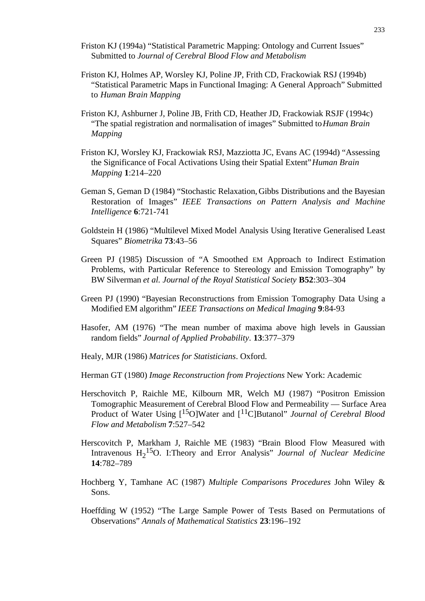- Friston KJ (1994a) "Statistical Parametric Mapping: Ontology and Current Issues" Submitted to *Journal of Cerebral Blood Flow and Metabolism*
- Friston KJ, Holmes AP, Worsley KJ, Poline JP, Frith CD, Frackowiak RSJ (1994b) "Statistical Parametric Maps in Functional Imaging: A General Approach" Submitted to *Human Brain Mapping*
- Friston KJ, Ashburner J, Poline JB, Frith CD, Heather JD, Frackowiak RSJF (1994c) "The spatial registration and normalisation of images" Submitted to *Human Brain Mapping*
- Friston KJ, Worsley KJ, Frackowiak RSJ, Mazziotta JC, Evans AC (1994d) "Assessing the Significance of Focal Activations Using their Spatial Extent" *Human Brain Mapping* **1**:214–220
- Geman S, Geman D (1984) "Stochastic Relaxation, Gibbs Distributions and the Bayesian Restoration of Images" *IEEE Transactions on Pattern Analysis and Machine Intelligence* **6**:721-741
- Goldstein H (1986) "Multilevel Mixed Model Analysis Using Iterative Generalised Least Squares" *Biometrika* **73**:43–56
- Green PJ (1985) Discussion of "A Smoothed EM Approach to Indirect Estimation Problems, with Particular Reference to Stereology and Emission Tomography" by BW Silverman *et al. Journal of the Royal Statistical Society* **B52**:303–304
- Green PJ (1990) "Bayesian Reconstructions from Emission Tomography Data Using a Modified EM algorithm" *IEEE Transactions on Medical Imaging* **9**:84-93
- Hasofer, AM (1976) "The mean number of maxima above high levels in Gaussian random fields" *Journal of Applied Probability*. **13**:377–379
- Healy, MJR (1986) *Matrices for Statisticians*. Oxford.
- Herman GT (1980) *Image Reconstruction from Projections* New York: Academic
- Herschovitch P, Raichle ME, Kilbourn MR, Welch MJ (1987) "Positron Emission Tomographic Measurement of Cerebral Blood Flow and Permeability — Surface Area Product of Water Using [15O]Water and [11C]Butanol" *Journal of Cerebral Blood Flow and Metabolism* **7**:527–542
- Herscovitch P, Markham J, Raichle ME (1983) "Brain Blood Flow Measured with Intravenous H2 15O. I:Theory and Error Analysis" *Journal of Nuclear Medicine* **14**:782–789
- Hochberg Y, Tamhane AC (1987) *Multiple Comparisons Procedures* John Wiley & Sons.
- Hoeffding W (1952) "The Large Sample Power of Tests Based on Permutations of Observations" *Annals of Mathematical Statistics* **23**:196–192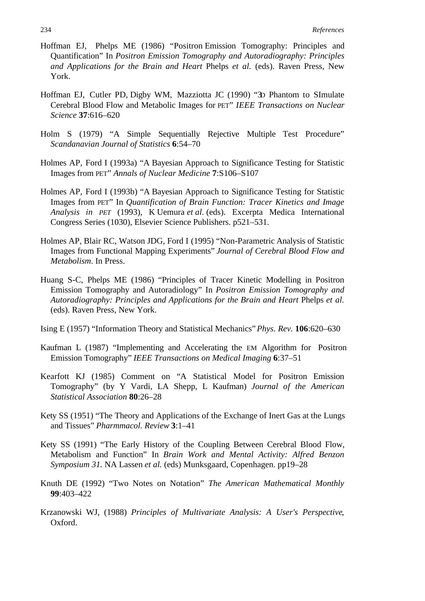- Hoffman EJ, Phelps ME (1986) "Positron Emission Tomography: Principles and Quantification" In *Positron Emission Tomography and Autoradiography: Principles and Applications for the Brain and Heart* Phelps *et al.* (eds). Raven Press, New York.
- Hoffman EJ, Cutler PD, Digby WM, Mazziotta JC (1990) "3D Phantom to SImulate Cerebral Blood Flow and Metabolic Images for PET" *IEEE Transactions on Nuclear Science* **37**:616–620
- Holm S (1979) "A Simple Sequentially Rejective Multiple Test Procedure" *Scandanavian Journal of Statistics* **6**:54–70
- Holmes AP, Ford I (1993a) "A Bayesian Approach to Significance Testing for Statistic Images from PET" *Annals of Nuclear Medicine* **7**:S106–S107
- Holmes AP, Ford I (1993b) "A Bayesian Approach to Significance Testing for Statistic Images from PET" In *Quantification of Brain Function: Tracer Kinetics and Image Analysis in PET* (1993), K Uemura *et al*. (eds). Excerpta Medica International Congress Series (1030), Elsevier Science Publishers. p521–531.
- Holmes AP, Blair RC, Watson JDG, Ford I (1995) "Non-Parametric Analysis of Statistic Images from Functional Mapping Experiments" *Journal of Cerebral Blood Flow and Metabolism*. In Press.
- Huang S-C, Phelps ME (1986) "Principles of Tracer Kinetic Modelling in Positron Emission Tomography and Autoradiology" In *Positron Emission Tomography and Autoradiography: Principles and Applications for the Brain and Heart* Phelps *et al.* (eds). Raven Press, New York.
- Ising E (1957) "Information Theory and Statistical Mechanics" *Phys. Rev.* **106**:620–630
- Kaufman L (1987) "Implementing and Accelerating the EM Algorithm for Positron Emission Tomography" *IEEE Transactions on Medical Imaging* **6**:37–51
- Kearfott KJ (1985) Comment on "A Statistical Model for Positron Emission Tomography" (by Y Vardi, LA Shepp, L Kaufman) *Journal of the American Statistical Association* **80**:26–28
- Kety SS (1951) "The Theory and Applications of the Exchange of Inert Gas at the Lungs and Tissues" *Pharmmacol. Review* **3**:1–41
- Kety SS (1991) "The Early History of the Coupling Between Cerebral Blood Flow, Metabolism and Function" In *Brain Work and Mental Activity: Alfred Benzon Symposium 31.* NA Lassen *et al.* (eds) Munksgaard, Copenhagen. pp19–28
- Knuth DE (1992) "Two Notes on Notation" *The American Mathematical Monthly* **99**:403–422
- Krzanowski WJ, (1988) *Principles of Multivariate Analysis: A User's Perspective*, Oxford.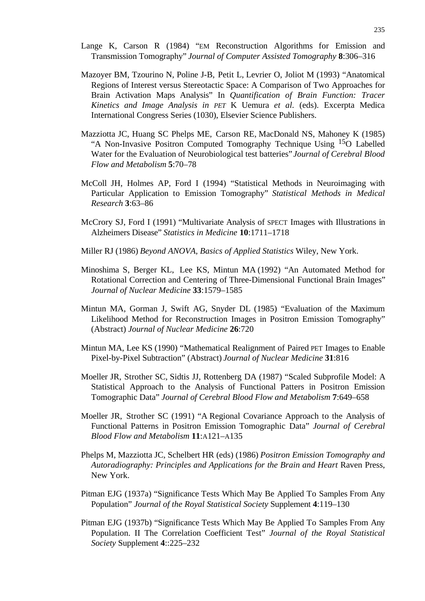- Lange K, Carson R (1984) "EM Reconstruction Algorithms for Emission and Transmission Tomography" *Journal of Computer Assisted Tomography* **8**:306–316
- Mazoyer BM, Tzourino N, Poline J-B, Petit L, Levrier O, Joliot M (1993) "Anatomical Regions of Interest versus Stereotactic Space: A Comparison of Two Approaches for Brain Activation Maps Analysis" In *Quantification of Brain Function: Tracer Kinetics and Image Analysis in PET* K Uemura *et al.* (eds). Excerpta Medica International Congress Series (1030), Elsevier Science Publishers.
- Mazziotta JC, Huang SC Phelps ME, Carson RE, MacDonald NS, Mahoney K (1985) "A Non-Invasive Positron Computed Tomography Technique Using 15O Labelled Water for the Evaluation of Neurobiological test batteries" *Journal of Cerebral Blood Flow and Metabolism* **5**:70–78
- McColl JH, Holmes AP, Ford I (1994) "Statistical Methods in Neuroimaging with Particular Application to Emission Tomography" *Statistical Methods in Medical Research* **3**:63–86
- McCrory SJ, Ford I (1991) "Multivariate Analysis of SPECT Images with Illustrations in Alzheimers Disease" *Statistics in Medicine* **10**:1711–1718
- Miller RJ (1986) *Beyond ANOVA, Basics of Applied Statistics* Wiley, New York.
- Minoshima S, Berger KL, Lee KS, Mintun MA (1992) "An Automated Method for Rotational Correction and Centering of Three-Dimensional Functional Brain Images" *Journal of Nuclear Medicine* **33**:1579–1585
- Mintun MA, Gorman J, Swift AG, Snyder DL (1985) "Evaluation of the Maximum Likelihood Method for Reconstruction Images in Positron Emission Tomography" (Abstract) *Journal of Nuclear Medicine* **26**:720
- Mintun MA, Lee KS (1990) "Mathematical Realignment of Paired PET Images to Enable Pixel-by-Pixel Subtraction" (Abstract) *Journal of Nuclear Medicine* **31**:816
- Moeller JR, Strother SC, Sidtis JJ, Rottenberg DA (1987) "Scaled Subprofile Model: A Statistical Approach to the Analysis of Functional Patters in Positron Emission Tomographic Data" *Journal of Cerebral Blood Flow and Metabolism* **7**:649–658
- Moeller JR, Strother SC (1991) "A Regional Covariance Approach to the Analysis of Functional Patterns in Positron Emission Tomographic Data" *Journal of Cerebral Blood Flow and Metabolism* **11**:A121–A135
- Phelps M, Mazziotta JC, Schelbert HR (eds) (1986) *Positron Emission Tomography and Autoradiography: Principles and Applications for the Brain and Heart* Raven Press, New York.
- Pitman EJG (1937a) "Significance Tests Which May Be Applied To Samples From Any Population" *Journal of the Royal Statistical Society* Supplement **4**:119–130
- Pitman EJG (1937b) "Significance Tests Which May Be Applied To Samples From Any Population. II The Correlation Coefficient Test" *Journal of the Royal Statistical Society* Supplement **4**::225–232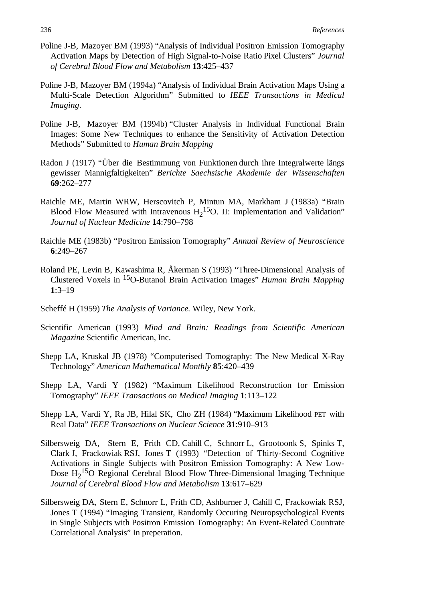- Poline J-B, Mazoyer BM (1993) "Analysis of Individual Positron Emission Tomography Activation Maps by Detection of High Signal-to-Noise Ratio Pixel Clusters" *Journal of Cerebral Blood Flow and Metabolism* **13**:425–437
- Poline J-B, Mazoyer BM (1994a) "Analysis of Individual Brain Activation Maps Using a Multi-Scale Detection Algorithm" Submitted to *IEEE Transactions in Medical Imaging*.
- Poline J-B, Mazoyer BM (1994b) "Cluster Analysis in Individual Functional Brain Images: Some New Techniques to enhance the Sensitivity of Activation Detection Methods" Submitted to *Human Brain Mapping*
- Radon J (1917) "Über die Bestimmung von Funktionen durch ihre Integralwerte längs gewisser Mannigfaltigkeiten" *Berichte Saechsische Akademie der Wissenschaften* **69**:262–277
- Raichle ME, Martin WRW, Herscovitch P, Mintun MA, Markham J (1983a) "Brain Blood Flow Measured with Intravenous  $H_2$ <sup>15</sup>O. II: Implementation and Validation" *Journal of Nuclear Medicine* **14**:790–798
- Raichle ME (1983b) "Positron Emission Tomography" *Annual Review of Neuroscience* **6**:249–267
- Roland PE, Levin B, Kawashima R, Åkerman S (1993) "Three-Dimensional Analysis of Clustered Voxels in 15O-Butanol Brain Activation Images" *Human Brain Mapping* **1**:3–19
- Scheffé H (1959) *The Analysis of Variance.* Wiley, New York.
- Scientific American (1993) *Mind and Brain: Readings from Scientific American Magazine* Scientific American, Inc.
- Shepp LA, Kruskal JB (1978) "Computerised Tomography: The New Medical X-Ray Technology" *American Mathematical Monthly* **85**:420–439
- Shepp LA, Vardi Y (1982) "Maximum Likelihood Reconstruction for Emission Tomography" *IEEE Transactions on Medical Imaging* **1**:113–122
- Shepp LA, Vardi Y, Ra JB, Hilal SK, Cho ZH (1984) "Maximum Likelihood PET with Real Data" *IEEE Transactions on Nuclear Science* **31**:910–913
- Silbersweig DA, Stern E, Frith CD, Cahill C, Schnorr L, Grootoonk S, Spinks T, Clark J, Frackowiak RSJ, Jones T (1993) "Detection of Thirty-Second Cognitive Activations in Single Subjects with Positron Emission Tomography: A New Low-Dose  $H_2$ <sup>15</sup>O Regional Cerebral Blood Flow Three-Dimensional Imaging Technique *Journal of Cerebral Blood Flow and Metabolism* **13**:617–629
- Silbersweig DA, Stern E, Schnorr L, Frith CD, Ashburner J, Cahill C, Frackowiak RSJ, Jones T (1994) "Imaging Transient, Randomly Occuring Neuropsychological Events in Single Subjects with Positron Emission Tomography: An Event-Related Countrate Correlational Analysis" In preperation.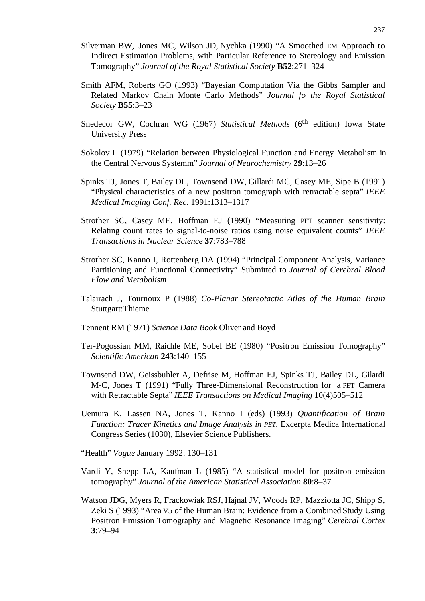- Silverman BW, Jones MC, Wilson JD, Nychka (1990) "A Smoothed EM Approach to Indirect Estimation Problems, with Particular Reference to Stereology and Emission Tomography" *Journal of the Royal Statistical Society* **B52**:271–324
- Smith AFM, Roberts GO (1993) "Bayesian Computation Via the Gibbs Sampler and Related Markov Chain Monte Carlo Methods" *Journal fo the Royal Statistical Society* **B55**:3–23
- Snedecor GW, Cochran WG (1967) *Statistical Methods* (6<sup>th</sup> edition) Iowa State University Press
- Sokolov L (1979) "Relation between Physiological Function and Energy Metabolism in the Central Nervous Systemm" *Journal of Neurochemistry* **29**:13–26
- Spinks TJ, Jones T, Bailey DL, Townsend DW, Gillardi MC, Casey ME, Sipe B (1991) "Physical characteristics of a new positron tomograph with retractable septa" *IEEE Medical Imaging Conf. Rec.* 1991:1313–1317
- Strother SC, Casey ME, Hoffman EJ (1990) "Measuring PET scanner sensitivity: Relating count rates to signal-to-noise ratios using noise equivalent counts" *IEEE Transactions in Nuclear Science* **37**:783–788
- Strother SC, Kanno I, Rottenberg DA (1994) "Principal Component Analysis, Variance Partitioning and Functional Connectivity" Submitted to *Journal of Cerebral Blood Flow and Metabolism*
- Talairach J, Tournoux P (1988) *Co-Planar Stereotactic Atlas of the Human Brain* Stuttgart:Thieme
- Tennent RM (1971) *Science Data Book* Oliver and Boyd
- Ter-Pogossian MM, Raichle ME, Sobel BE (1980) "Positron Emission Tomography" *Scientific American* **243**:140–155
- Townsend DW, Geissbuhler A, Defrise M, Hoffman EJ, Spinks TJ, Bailey DL, Gilardi M-C, Jones T (1991) "Fully Three-Dimensional Reconstruction for a PET Camera with Retractable Septa" *IEEE Transactions on Medical Imaging* 10(4)505–512
- Uemura K, Lassen NA, Jones T, Kanno I (eds) (1993) *Quantification of Brain Function: Tracer Kinetics and Image Analysis in PET*. Excerpta Medica International Congress Series (1030), Elsevier Science Publishers.
- "Health" *Vogue* January 1992: 130–131
- Vardi Y, Shepp LA, Kaufman L (1985) "A statistical model for positron emission tomography" *Journal of the American Statistical Association* **80**:8–37
- Watson JDG, Myers R, Frackowiak RSJ, Hajnal JV, Woods RP, Mazziotta JC, Shipp S, Zeki S (1993) "Area V5 of the Human Brain: Evidence from a Combined Study Using Positron Emission Tomography and Magnetic Resonance Imaging" *Cerebral Cortex* **3**:79–94